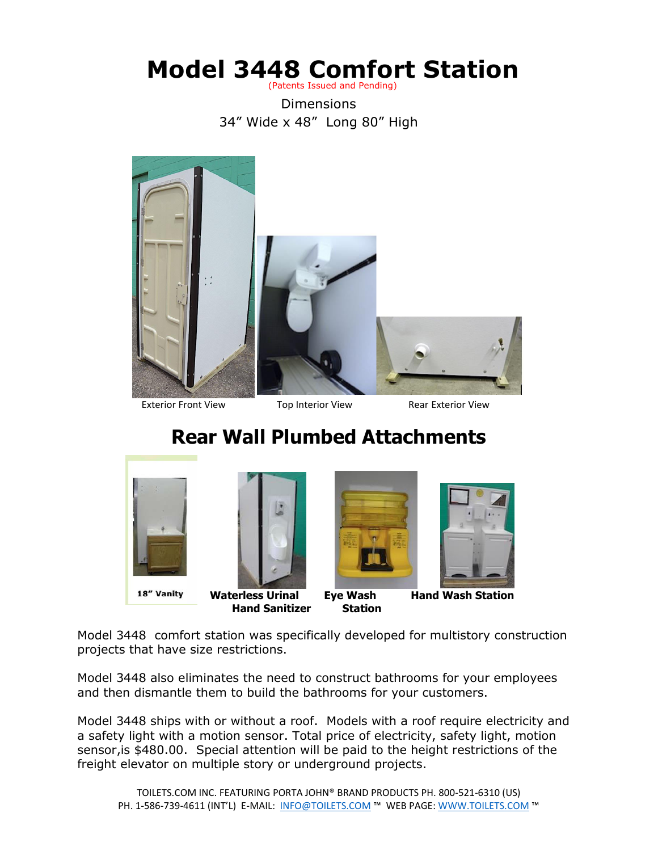#### **Model 3448 Comfort Station** (Patents Issued and Pending)

Dimensions 34" Wide x 48" Long 80" High



Exterior Front View Top Interior View Rear Exterior View

# **Rear Wall Plumbed Attachments**



Model 3448 comfort station was specifically developed for multistory construction projects that have size restrictions.

Model 3448 also eliminates the need to construct bathrooms for your employees and then dismantle them to build the bathrooms for your customers.

Model 3448 ships with or without a roof. Models with a roof require electricity and a safety light with a motion sensor. Total price of electricity, safety light, motion sensor,is \$480.00. Special attention will be paid to the height restrictions of the freight elevator on multiple story or underground projects.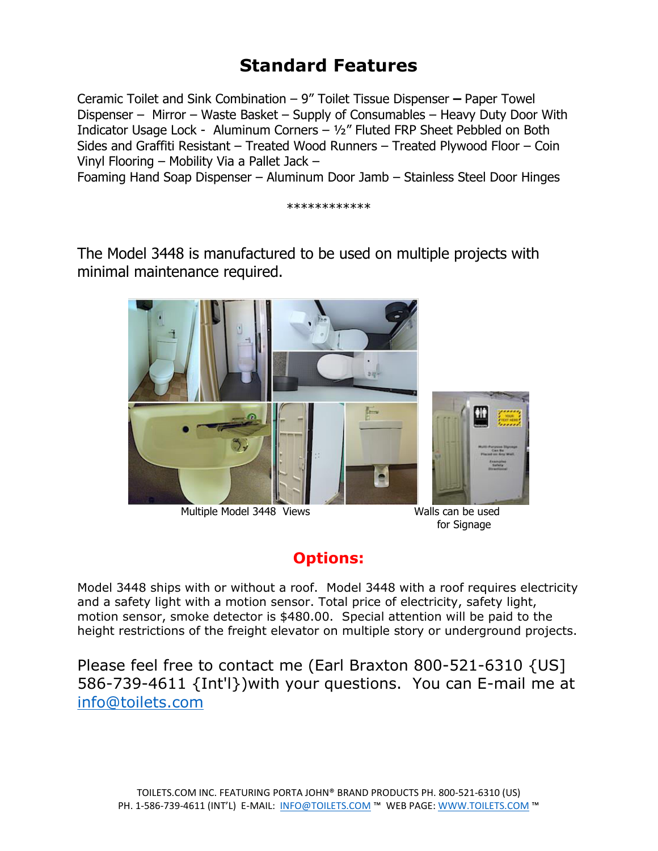## **Standard Features**

Ceramic Toilet and Sink Combination – 9" Toilet Tissue Dispenser **–** Paper Towel Dispenser – Mirror – Waste Basket – Supply of Consumables – Heavy Duty Door With Indicator Usage Lock - Aluminum Corners – ½" Fluted FRP Sheet Pebbled on Both Sides and Graffiti Resistant – Treated Wood Runners – Treated Plywood Floor – Coin Vinyl Flooring – Mobility Via a Pallet Jack –

Foaming Hand Soap Dispenser – Aluminum Door Jamb – Stainless Steel Door Hinges

\*\*\*\*\*\*\*\*\*\*\*\*

The Model 3448 is manufactured to be used on multiple projects with minimal maintenance required.



Multiple Model 3448 Views Walls can be used

for Signage

### **Options:**

Model 3448 ships with or without a roof. Model 3448 with a roof requires electricity and a safety light with a motion sensor. Total price of electricity, safety light, motion sensor, smoke detector is \$480.00. Special attention will be paid to the height restrictions of the freight elevator on multiple story or underground projects.

Please feel free to contact me (Earl Braxton 800-521-6310 {US] 586-739-4611 {Int'l})with your questions. You can E-mail me at [info@toilets.com](mailto:info@toilets.com)